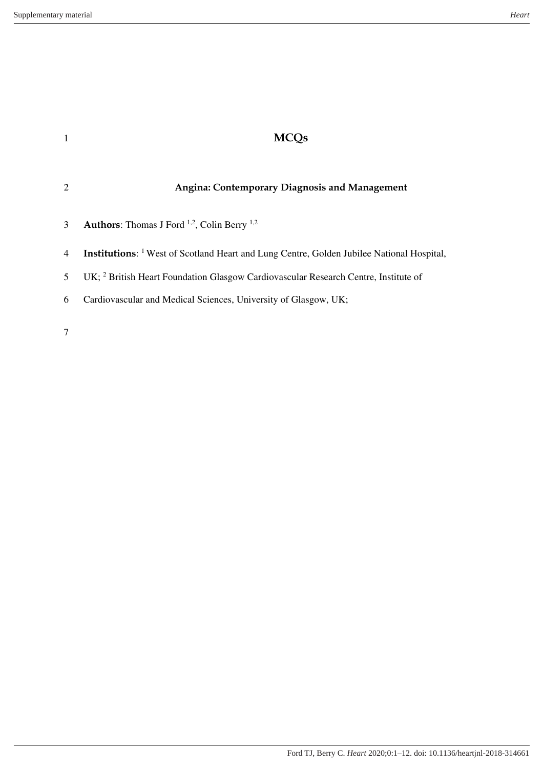|   | <b>Angina: Contemporary Diagnosis and Management</b>                                                        |
|---|-------------------------------------------------------------------------------------------------------------|
| 3 | <b>Authors:</b> Thomas J Ford $^{1,2}$ , Colin Berry $^{1,2}$                                               |
| 4 | <b>Institutions:</b> <sup>1</sup> West of Scotland Heart and Lung Centre, Golden Jubilee National Hospital, |
| 5 | UK; <sup>2</sup> British Heart Foundation Glasgow Cardiovascular Research Centre, Institute of              |
| 6 | Cardiovascular and Medical Sciences, University of Glasgow, UK;                                             |
|   |                                                                                                             |

7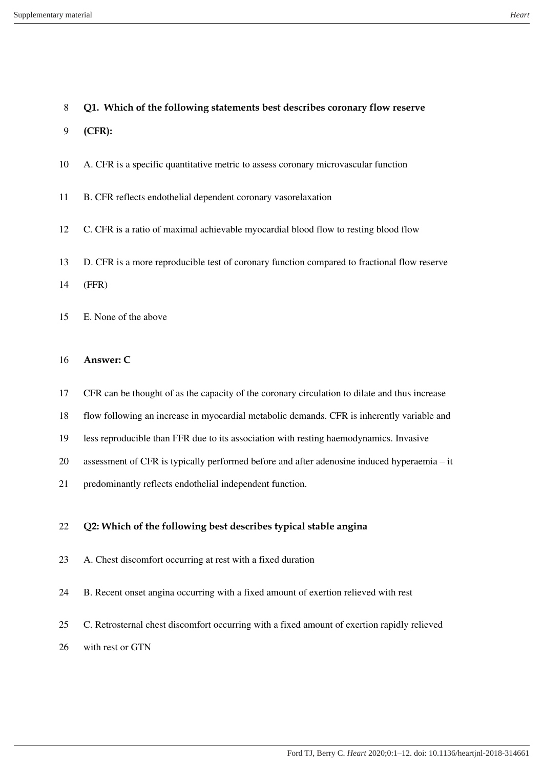## **Q1. Which of the following statements best describes coronary flow reserve**

- **(CFR):**
- A. CFR is a specific quantitative metric to assess coronary microvascular function
- B. CFR reflects endothelial dependent coronary vasorelaxation
- C. CFR is a ratio of maximal achievable myocardial blood flow to resting blood flow
- D. CFR is a more reproducible test of coronary function compared to fractional flow reserve
- (FFR)
- E. None of the above
- **Answer: C**
- CFR can be thought of as the capacity of the coronary circulation to dilate and thus increase
- flow following an increase in myocardial metabolic demands. CFR is inherently variable and
- less reproducible than FFR due to its association with resting haemodynamics. Invasive
- assessment of CFR is typically performed before and after adenosine induced hyperaemia it
- predominantly reflects endothelial independent function.

## **Q2: Which of the following best describes typical stable angina**

- A. Chest discomfort occurring at rest with a fixed duration
- B. Recent onset angina occurring with a fixed amount of exertion relieved with rest
- C. Retrosternal chest discomfort occurring with a fixed amount of exertion rapidly relieved
- with rest or GTN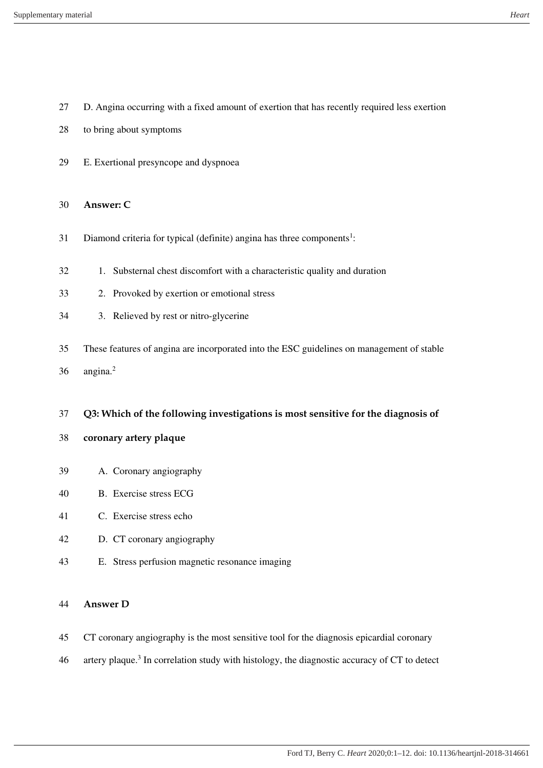- D. Angina occurring with a fixed amount of exertion that has recently required less exertion
- to bring about symptoms
- E. Exertional presyncope and dyspnoea

#### **Answer: C**

- 31 Diamond criteria for typical (definite) angina has three components<sup>1</sup>:
- 1. Substernal chest discomfort with a characteristic quality and duration
- 2. Provoked by exertion or emotional stress
- 3. Relieved by rest or nitro-glycerine
- These features of angina are incorporated into the ESC guidelines on management of stable
- angina.<sup>2</sup>

#### **Q3: Which of the following investigations is most sensitive for the diagnosis of**

- **coronary artery plaque**
- A. Coronary angiography
- B. Exercise stress ECG
- C. Exercise stress echo
- D. CT coronary angiography
- E. Stress perfusion magnetic resonance imaging

### **Answer D**

- CT coronary angiography is the most sensitive tool for the diagnosis epicardial coronary
- 46 artery plaque.<sup>3</sup> In correlation study with histology, the diagnostic accuracy of CT to detect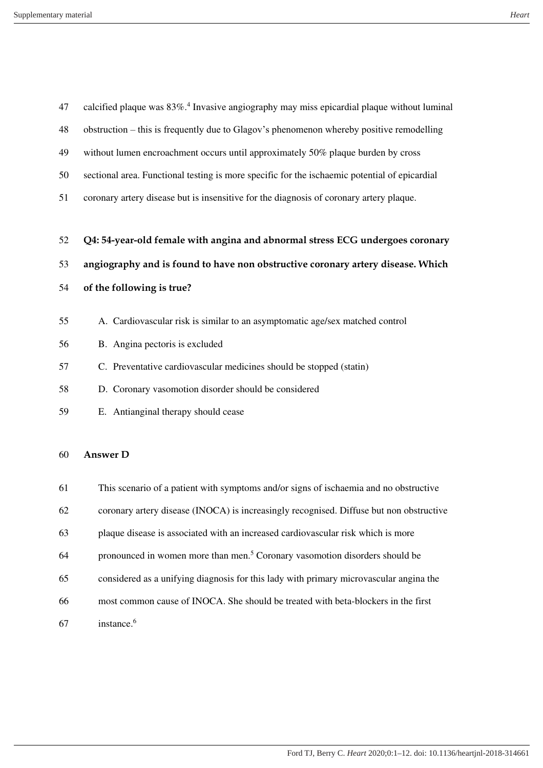| 47 | calcified plaque was 83%. <sup>4</sup> Invasive angiography may miss epicardial plaque without luminal |
|----|--------------------------------------------------------------------------------------------------------|
| 48 | obstruction – this is frequently due to Glagov's phenomenon whereby positive remodelling               |
| 49 | without lumen encroachment occurs until approximately 50% plaque burden by cross                       |
| 50 | sectional area. Functional testing is more specific for the ischaemic potential of epicardial          |
| 51 | coronary artery disease but is insensitive for the diagnosis of coronary artery plaque.                |
|    |                                                                                                        |
| 52 | Q4: 54-year-old female with angina and abnormal stress ECG undergoes coronary                          |
| 53 | angiography and is found to have non obstructive coronary artery disease. Which                        |
| 54 | of the following is true?                                                                              |
|    |                                                                                                        |
| 55 | A. Cardiovascular risk is similar to an asymptomatic age/sex matched control                           |
| 56 | B. Angina pectoris is excluded                                                                         |
| 57 | C. Preventative cardiovascular medicines should be stopped (statin)                                    |
| 58 | D. Coronary vasomotion disorder should be considered                                                   |
| 59 | E. Antianginal therapy should cease                                                                    |
|    |                                                                                                        |
| 60 | <b>Answer D</b>                                                                                        |
| 61 | This scenario of a patient with symptoms and/or signs of ischaemia and no obstructive                  |
|    |                                                                                                        |
| 62 | coronary artery disease (INOCA) is increasingly recognised. Diffuse but non obstructive                |
|    |                                                                                                        |

- plaque disease is associated with an increased cardiovascular risk which is more
- 64 pronounced in women more than men.<sup>5</sup> Coronary vasomotion disorders should be
- considered as a unifying diagnosis for this lady with primary microvascular angina the
- most common cause of INOCA. She should be treated with beta-blockers in the first
- 67 instance.<sup>6</sup>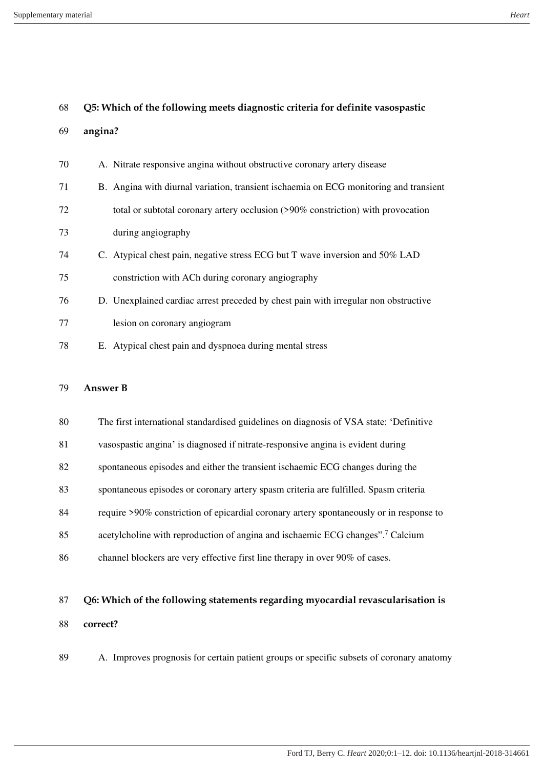#### Supplementary material *Heart*

| 68 |         | Q5: Which of the following meets diagnostic criteria for definite vasospastic         |
|----|---------|---------------------------------------------------------------------------------------|
| 69 | angina? |                                                                                       |
| 70 |         | A. Nitrate responsive angina without obstructive coronary artery disease              |
| 71 |         | B. Angina with diurnal variation, transient ischaemia on ECG monitoring and transient |
| 72 |         | total or subtotal coronary artery occlusion (>90% constriction) with provocation      |
| 73 |         | during angiography                                                                    |
| 74 |         | C. Atypical chest pain, negative stress ECG but T wave inversion and 50% LAD          |
| 75 |         | constriction with ACh during coronary angiography                                     |
| 76 |         | D. Unexplained cardiac arrest preceded by chest pain with irregular non obstructive   |
| 77 |         | lesion on coronary angiogram                                                          |
| 78 |         | E. Atypical chest pain and dyspnoea during mental stress                              |
|    |         |                                                                                       |

## **Answer B**

| 80 | The first international standardised guidelines on diagnosis of VSA state: 'Definitive     |
|----|--------------------------------------------------------------------------------------------|
| 81 | vasospastic angina' is diagnosed if nitrate-responsive angina is evident during            |
| 82 | spontaneous episodes and either the transient is chaemic ECG changes during the            |
| 83 | spontaneous episodes or coronary artery spasm criteria are fulfilled. Spasm criteria       |
| 84 | require >90% constriction of epicardial coronary artery spontaneously or in response to    |
| 85 | acetylcholine with reproduction of angina and ischaemic ECG changes". <sup>7</sup> Calcium |
| 86 | channel blockers are very effective first line therapy in over 90% of cases.               |

# **Q6: Which of the following statements regarding myocardial revascularisation is correct?**

A. Improves prognosis for certain patient groups or specific subsets of coronary anatomy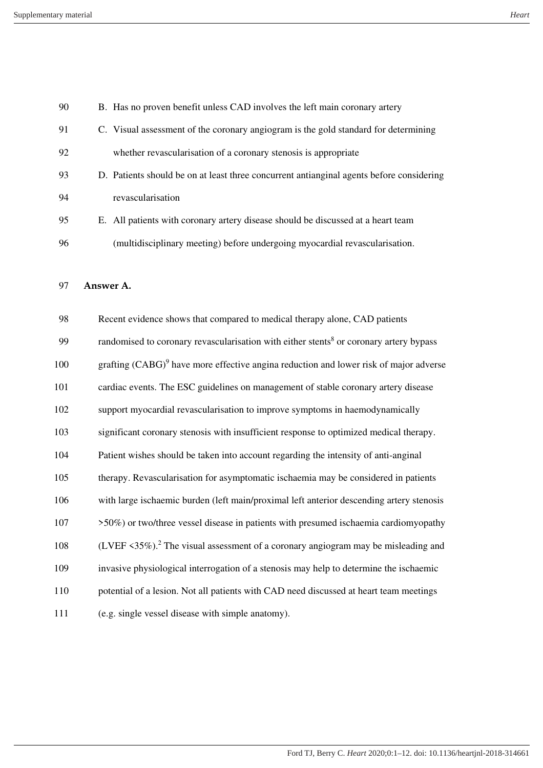| 90  | B. Has no proven benefit unless CAD involves the left main coronary artery                         |
|-----|----------------------------------------------------------------------------------------------------|
| 91  | C. Visual assessment of the coronary angiogram is the gold standard for determining                |
| 92  | whether revascularisation of a coronary stenosis is appropriate                                    |
| 93  | D. Patients should be on at least three concurrent antianginal agents before considering           |
| 94  | revascularisation                                                                                  |
| 95  | E. All patients with coronary artery disease should be discussed at a heart team                   |
| 96  | (multidisciplinary meeting) before undergoing myocardial revascularisation.                        |
|     |                                                                                                    |
| 97  | Answer A.                                                                                          |
| 98  | Recent evidence shows that compared to medical therapy alone, CAD patients                         |
| 99  | randomised to coronary revascularisation with either stents <sup>8</sup> or coronary artery bypass |
| 100 | grafting $(CABG)^9$ have more effective angina reduction and lower risk of major adverse           |
| 101 | cardiac events. The ESC guidelines on management of stable coronary artery disease                 |
| 102 | support myocardial revascularisation to improve symptoms in haemodynamically                       |
| 103 | significant coronary stenosis with insufficient response to optimized medical therapy.             |
| 104 | Patient wishes should be taken into account regarding the intensity of anti-anginal                |
| 105 | therapy. Revascularisation for asymptomatic ischaemia may be considered in patients                |
| 106 | with large ischaemic burden (left main/proximal left anterior descending artery stenosis           |
| 107 | >50%) or two/three vessel disease in patients with presumed ischaemia cardiomyopathy               |
| 108 | (LVEF <35%). <sup>2</sup> The visual assessment of a coronary angiogram may be misleading and      |
| 109 | invasive physiological interrogation of a stenosis may help to determine the ischaemic             |
| 110 | potential of a lesion. Not all patients with CAD need discussed at heart team meetings             |
| 111 | (e.g. single vessel disease with simple anatomy).                                                  |
|     |                                                                                                    |